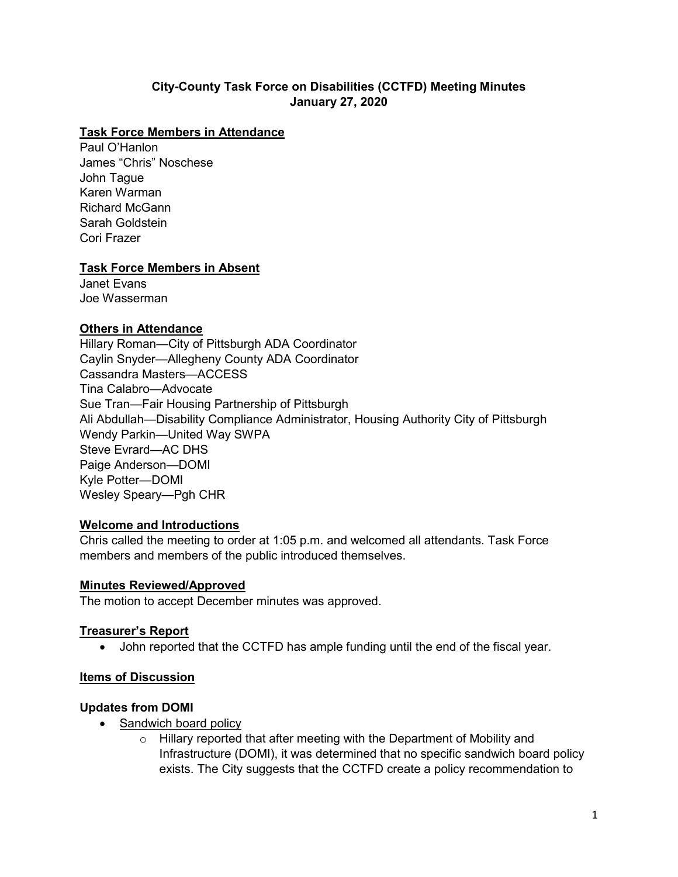## **City-County Task Force on Disabilities (CCTFD) Meeting Minutes January 27, 2020**

#### **Task Force Members in Attendance**

Paul O'Hanlon James "Chris" Noschese John Tague Karen Warman Richard McGann Sarah Goldstein Cori Frazer

### **Task Force Members in Absent**

Janet Evans Joe Wasserman

#### **Others in Attendance**

Hillary Roman—City of Pittsburgh ADA Coordinator Caylin Snyder—Allegheny County ADA Coordinator Cassandra Masters—ACCESS Tina Calabro—Advocate Sue Tran—Fair Housing Partnership of Pittsburgh Ali Abdullah—Disability Compliance Administrator, Housing Authority City of Pittsburgh Wendy Parkin—United Way SWPA Steve Evrard—AC DHS Paige Anderson—DOMI Kyle Potter—DOMI Wesley Speary—Pgh CHR

#### **Welcome and Introductions**

Chris called the meeting to order at 1:05 p.m. and welcomed all attendants. Task Force members and members of the public introduced themselves.

#### **Minutes Reviewed/Approved**

The motion to accept December minutes was approved.

#### **Treasurer's Report**

• John reported that the CCTFD has ample funding until the end of the fiscal year.

#### **Items of Discussion**

#### **Updates from DOMI**

- Sandwich board policy
	- $\circ$  Hillary reported that after meeting with the Department of Mobility and Infrastructure (DOMI), it was determined that no specific sandwich board policy exists. The City suggests that the CCTFD create a policy recommendation to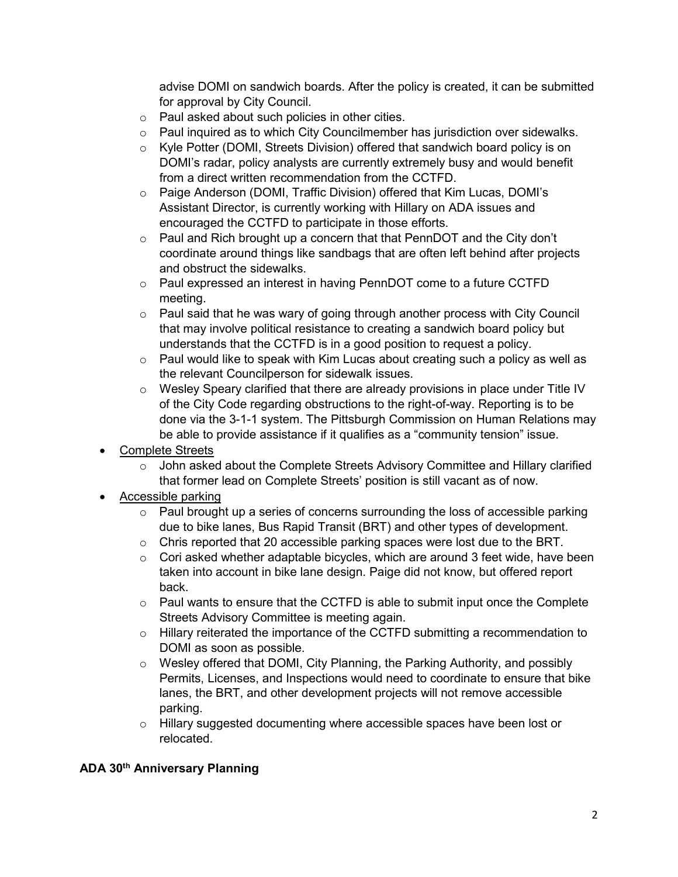advise DOMI on sandwich boards. After the policy is created, it can be submitted for approval by City Council.

- o Paul asked about such policies in other cities.
- o Paul inquired as to which City Councilmember has jurisdiction over sidewalks.
- o Kyle Potter (DOMI, Streets Division) offered that sandwich board policy is on DOMI's radar, policy analysts are currently extremely busy and would benefit from a direct written recommendation from the CCTFD.
- o Paige Anderson (DOMI, Traffic Division) offered that Kim Lucas, DOMI's Assistant Director, is currently working with Hillary on ADA issues and encouraged the CCTFD to participate in those efforts.
- o Paul and Rich brought up a concern that that PennDOT and the City don't coordinate around things like sandbags that are often left behind after projects and obstruct the sidewalks.
- o Paul expressed an interest in having PennDOT come to a future CCTFD meeting.
- $\circ$  Paul said that he was wary of going through another process with City Council that may involve political resistance to creating a sandwich board policy but understands that the CCTFD is in a good position to request a policy.
- $\circ$  Paul would like to speak with Kim Lucas about creating such a policy as well as the relevant Councilperson for sidewalk issues.
- $\circ$  Wesley Speary clarified that there are already provisions in place under Title IV of the City Code regarding obstructions to the right-of-way. Reporting is to be done via the 3-1-1 system. The Pittsburgh Commission on Human Relations may be able to provide assistance if it qualifies as a "community tension" issue.
- Complete Streets
	- $\circ$  John asked about the Complete Streets Advisory Committee and Hillary clarified that former lead on Complete Streets' position is still vacant as of now.
- Accessible parking
	- o Paul brought up a series of concerns surrounding the loss of accessible parking due to bike lanes, Bus Rapid Transit (BRT) and other types of development.
	- o Chris reported that 20 accessible parking spaces were lost due to the BRT.
	- $\circ$  Cori asked whether adaptable bicycles, which are around 3 feet wide, have been taken into account in bike lane design. Paige did not know, but offered report back.
	- $\circ$  Paul wants to ensure that the CCTFD is able to submit input once the Complete Streets Advisory Committee is meeting again.
	- o Hillary reiterated the importance of the CCTFD submitting a recommendation to DOMI as soon as possible.
	- o Wesley offered that DOMI, City Planning, the Parking Authority, and possibly Permits, Licenses, and Inspections would need to coordinate to ensure that bike lanes, the BRT, and other development projects will not remove accessible parking.
	- o Hillary suggested documenting where accessible spaces have been lost or relocated.

### **ADA 30th Anniversary Planning**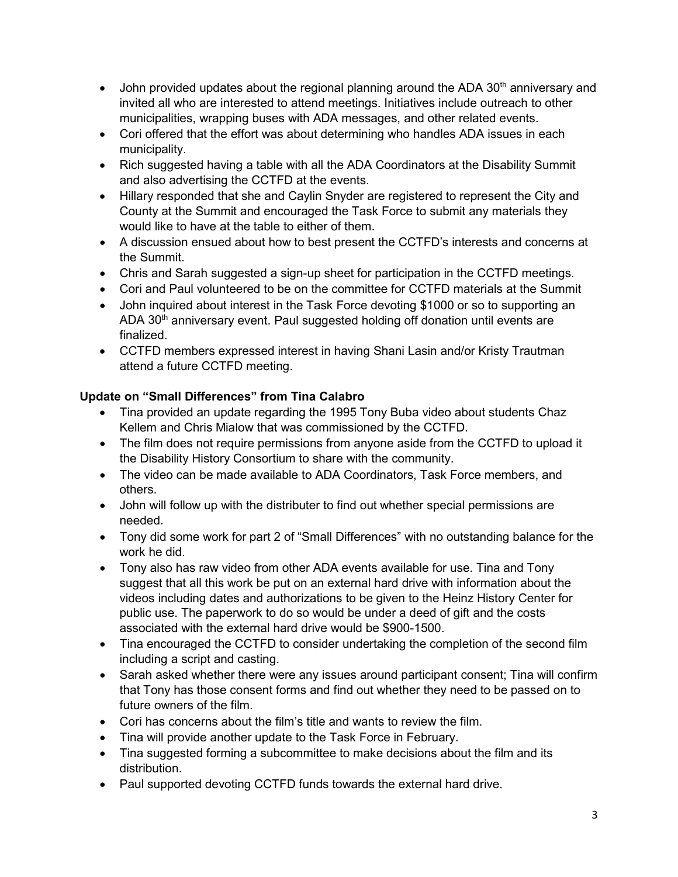- John provided updates about the regional planning around the ADA  $30<sup>th</sup>$  anniversary and invited all who are interested to attend meetings. Initiatives include outreach to other municipalities, wrapping buses with ADA messages, and other related events.
- Cori offered that the effort was about determining who handles ADA issues in each municipality.
- Rich suggested having a table with all the ADA Coordinators at the Disability Summit and also advertising the CCTFD at the events.
- Hillary responded that she and Caylin Snyder are registered to represent the City and County at the Summit and encouraged the Task Force to submit any materials they would like to have at the table to either of them.
- A discussion ensued about how to best present the CCTFD's interests and concerns at the Summit.
- Chris and Sarah suggested a sign-up sheet for participation in the CCTFD meetings.
- Cori and Paul volunteered to be on the committee for CCTFD materials at the Summit
- John inquired about interest in the Task Force devoting \$1000 or so to supporting an ADA 30<sup>th</sup> anniversary event. Paul suggested holding off donation until events are finalized.
- CCTFD members expressed interest in having Shani Lasin and/or Kristy Trautman attend a future CCTFD meeting.

# **Update on "Small Differences" from Tina Calabro**

- Tina provided an update regarding the 1995 Tony Buba video about students Chaz Kellem and Chris Mialow that was commissioned by the CCTFD.
- The film does not require permissions from anyone aside from the CCTFD to upload it the Disability History Consortium to share with the community.
- The video can be made available to ADA Coordinators, Task Force members, and others.
- John will follow up with the distributer to find out whether special permissions are needed.
- Tony did some work for part 2 of "Small Differences" with no outstanding balance for the work he did.
- Tony also has raw video from other ADA events available for use. Tina and Tony suggest that all this work be put on an external hard drive with information about the videos including dates and authorizations to be given to the Heinz History Center for public use. The paperwork to do so would be under a deed of gift and the costs associated with the external hard drive would be \$900-1500.
- Tina encouraged the CCTFD to consider undertaking the completion of the second film including a script and casting.
- Sarah asked whether there were any issues around participant consent; Tina will confirm that Tony has those consent forms and find out whether they need to be passed on to future owners of the film.
- Cori has concerns about the film's title and wants to review the film.
- Tina will provide another update to the Task Force in February.
- Tina suggested forming a subcommittee to make decisions about the film and its distribution.
- Paul supported devoting CCTFD funds towards the external hard drive.